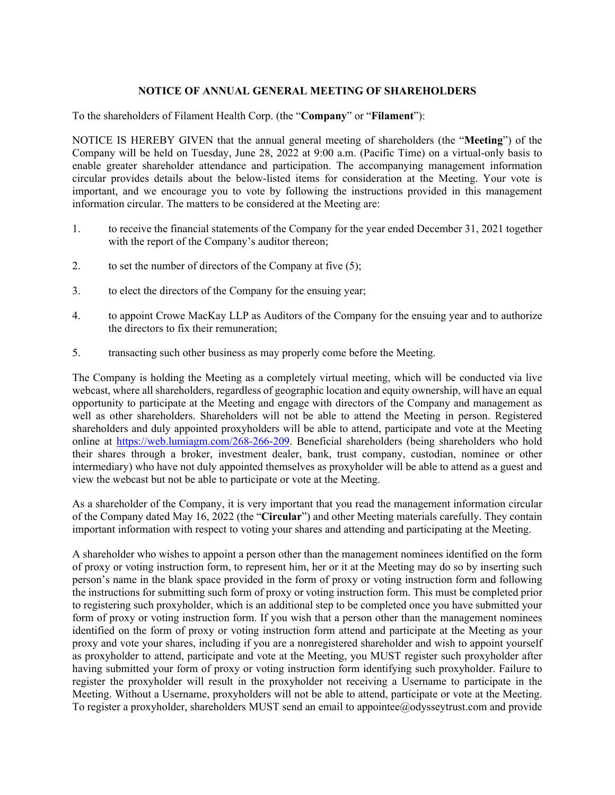## **NOTICE OF ANNUAL GENERAL MEETING OF SHAREHOLDERS**

To the shareholders of Filament Health Corp. (the "**Company**" or "**Filament**"):

NOTICE IS HEREBY GIVEN that the annual general meeting of shareholders (the "**Meeting**") of the Company will be held on Tuesday, June 28, 2022 at 9:00 a.m. (Pacific Time) on a virtual-only basis to enable greater shareholder attendance and participation. The accompanying management information circular provides details about the below-listed items for consideration at the Meeting. Your vote is important, and we encourage you to vote by following the instructions provided in this management information circular. The matters to be considered at the Meeting are:

- 1. to receive the financial statements of the Company for the year ended December 31, 2021 together with the report of the Company's auditor thereon;
- 2. to set the number of directors of the Company at five (5);
- 3. to elect the directors of the Company for the ensuing year;
- 4. to appoint Crowe MacKay LLP as Auditors of the Company for the ensuing year and to authorize the directors to fix their remuneration;
- 5. transacting such other business as may properly come before the Meeting.

The Company is holding the Meeting as a completely virtual meeting, which will be conducted via live webcast, where all shareholders, regardless of geographic location and equity ownership, will have an equal opportunity to participate at the Meeting and engage with directors of the Company and management as well as other shareholders. Shareholders will not be able to attend the Meeting in person. Registered shareholders and duly appointed proxyholders will be able to attend, participate and vote at the Meeting online at https://web.lumiagm.com/268-266-209. Beneficial shareholders (being shareholders who hold their shares through a broker, investment dealer, bank, trust company, custodian, nominee or other intermediary) who have not duly appointed themselves as proxyholder will be able to attend as a guest and view the webcast but not be able to participate or vote at the Meeting.

As a shareholder of the Company, it is very important that you read the management information circular of the Company dated May 16, 2022 (the "**Circular**") and other Meeting materials carefully. They contain important information with respect to voting your shares and attending and participating at the Meeting.

A shareholder who wishes to appoint a person other than the management nominees identified on the form of proxy or voting instruction form, to represent him, her or it at the Meeting may do so by inserting such person's name in the blank space provided in the form of proxy or voting instruction form and following the instructions for submitting such form of proxy or voting instruction form. This must be completed prior to registering such proxyholder, which is an additional step to be completed once you have submitted your form of proxy or voting instruction form. If you wish that a person other than the management nominees identified on the form of proxy or voting instruction form attend and participate at the Meeting as your proxy and vote your shares, including if you are a nonregistered shareholder and wish to appoint yourself as proxyholder to attend, participate and vote at the Meeting, you MUST register such proxyholder after having submitted your form of proxy or voting instruction form identifying such proxyholder. Failure to register the proxyholder will result in the proxyholder not receiving a Username to participate in the Meeting. Without a Username, proxyholders will not be able to attend, participate or vote at the Meeting. To register a proxyholder, shareholders MUST send an email to appointee@odysseytrust.com and provide